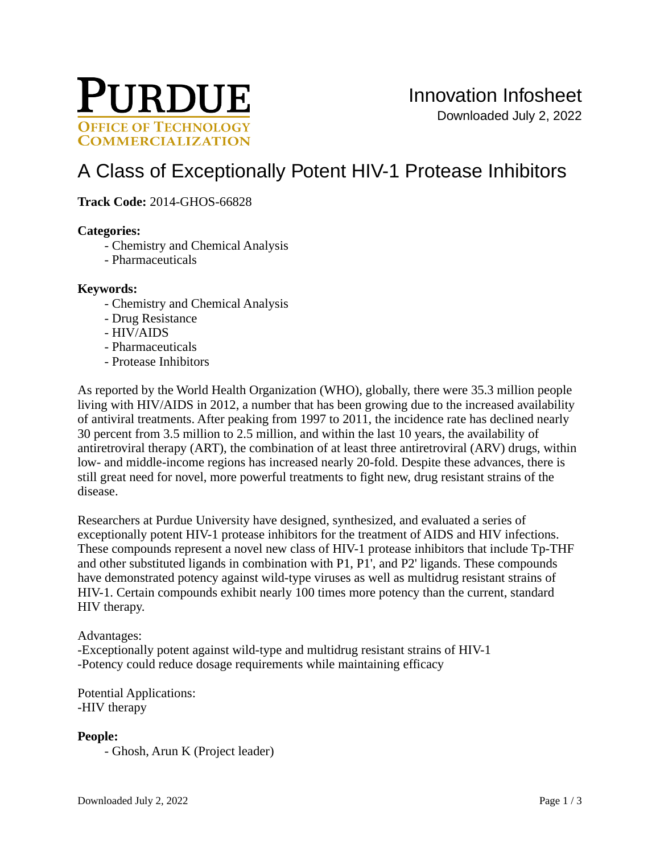

# [A Class of Exceptionally Potent HIV-1 Protease Inhibitors](https://inventions.prf.org/innovation/5190)

**Track Code:** 2014-GHOS-66828

## **Categories:**

- Chemistry and Chemical Analysis
- Pharmaceuticals

## **Keywords:**

- Chemistry and Chemical Analysis
- Drug Resistance
- HIV/AIDS
- Pharmaceuticals
- Protease Inhibitors

As reported by the World Health Organization (WHO), globally, there were 35.3 million people living with HIV/AIDS in 2012, a number that has been growing due to the increased availability of antiviral treatments. After peaking from 1997 to 2011, the incidence rate has declined nearly 30 percent from 3.5 million to 2.5 million, and within the last 10 years, the availability of antiretroviral therapy (ART), the combination of at least three antiretroviral (ARV) drugs, within low- and middle-income regions has increased nearly 20-fold. Despite these advances, there is still great need for novel, more powerful treatments to fight new, drug resistant strains of the disease.

Researchers at Purdue University have designed, synthesized, and evaluated a series of exceptionally potent HIV-1 protease inhibitors for the treatment of AIDS and HIV infections. These compounds represent a novel new class of HIV-1 protease inhibitors that include Tp-THF and other substituted ligands in combination with P1, P1', and P2' ligands. These compounds have demonstrated potency against wild-type viruses as well as multidrug resistant strains of HIV-1. Certain compounds exhibit nearly 100 times more potency than the current, standard HIV therapy.

## Advantages:

-Exceptionally potent against wild-type and multidrug resistant strains of HIV-1 -Potency could reduce dosage requirements while maintaining efficacy

Potential Applications: -HIV therapy

## **People:**

- Ghosh, Arun K (Project leader)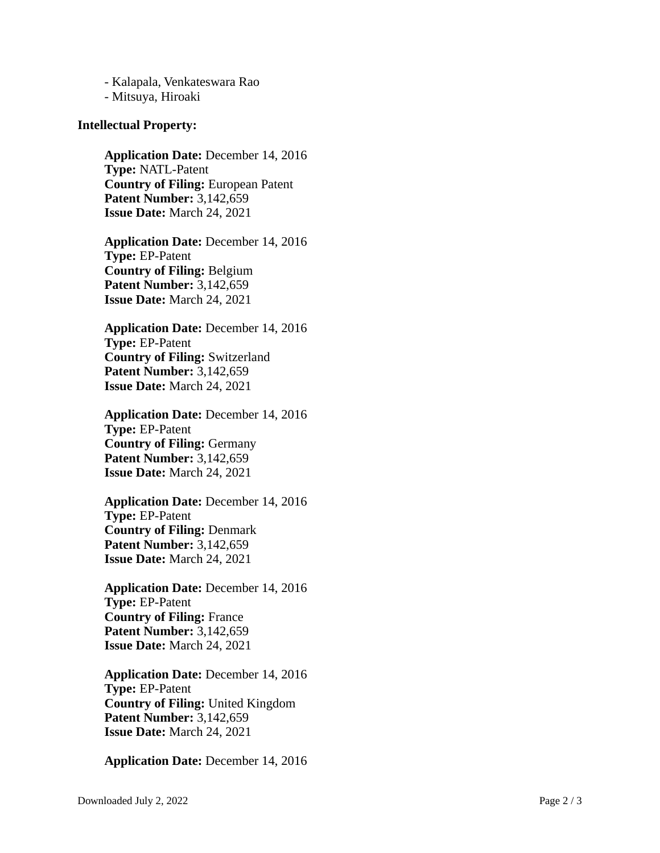- Kalapala, Venkateswara Rao - Mitsuya, Hiroaki

#### **Intellectual Property:**

**Application Date:** December 14, 2016 **Type:** NATL-Patent **Country of Filing:** European Patent **Patent Number:** 3,142,659 **Issue Date:** March 24, 2021

**Application Date:** December 14, 2016 **Type:** EP-Patent **Country of Filing:** Belgium **Patent Number:** 3,142,659 **Issue Date:** March 24, 2021

**Application Date:** December 14, 2016 **Type:** EP-Patent **Country of Filing:** Switzerland **Patent Number:** 3,142,659 **Issue Date:** March 24, 2021

**Application Date:** December 14, 2016 **Type:** EP-Patent **Country of Filing:** Germany **Patent Number:** 3,142,659 **Issue Date:** March 24, 2021

**Application Date:** December 14, 2016 **Type:** EP-Patent **Country of Filing:** Denmark **Patent Number:** 3,142,659 **Issue Date:** March 24, 2021

**Application Date:** December 14, 2016 **Type:** EP-Patent **Country of Filing:** France **Patent Number:** 3,142,659 **Issue Date:** March 24, 2021

**Application Date:** December 14, 2016 **Type:** EP-Patent **Country of Filing:** United Kingdom **Patent Number:** 3,142,659 **Issue Date:** March 24, 2021

**Application Date:** December 14, 2016